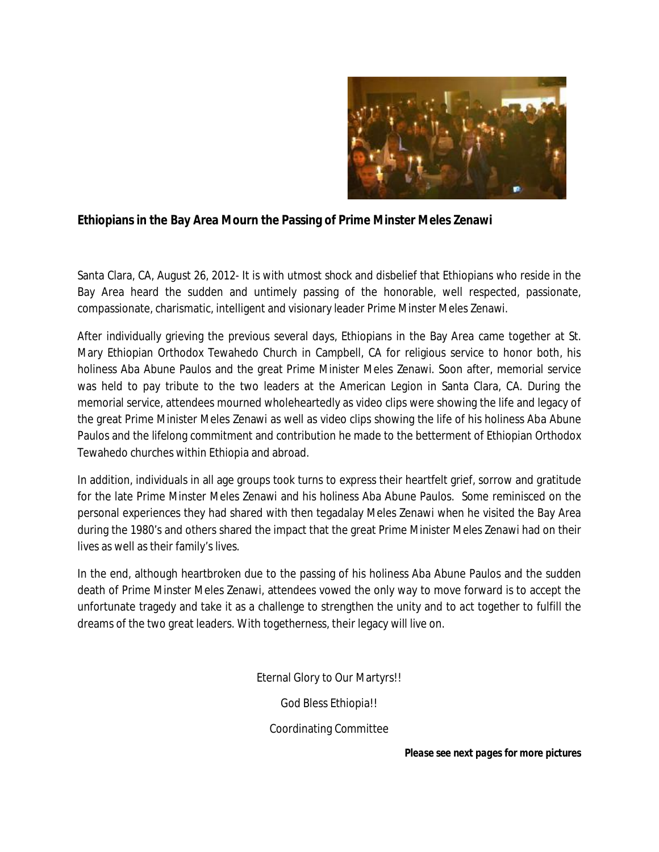

## **Ethiopians in the Bay Area Mourn the Passing of Prime Minster Meles Zenawi**

Santa Clara, CA, August 26, 2012- It is with utmost shock and disbelief that Ethiopians who reside in the Bay Area heard the sudden and untimely passing of the honorable, well respected, passionate, compassionate, charismatic, intelligent and visionary leader Prime Minster Meles Zenawi.

After individually grieving the previous several days, Ethiopians in the Bay Area came together at St. Mary Ethiopian Orthodox Tewahedo Church in Campbell, CA for religious service to honor both, his holiness Aba Abune Paulos and the great Prime Minister Meles Zenawi. Soon after, memorial service was held to pay tribute to the two leaders at the American Legion in Santa Clara, CA. During the memorial service, attendees mourned wholeheartedly as video clips were showing the life and legacy of the great Prime Minister Meles Zenawi as well as video clips showing the life of his holiness Aba Abune Paulos and the lifelong commitment and contribution he made to the betterment of Ethiopian Orthodox Tewahedo churches within Ethiopia and abroad.

In addition, individuals in all age groups took turns to express their heartfelt grief, sorrow and gratitude for the late Prime Minster Meles Zenawi and his holiness Aba Abune Paulos. Some reminisced on the personal experiences they had shared with then tegadalay Meles Zenawi when he visited the Bay Area during the 1980's and others shared the impact that the great Prime Minister Meles Zenawi had on their lives as well as their family's lives.

In the end, although heartbroken due to the passing of his holiness Aba Abune Paulos and the sudden death of Prime Minster Meles Zenawi, attendees vowed the only way to move forward is to accept the unfortunate tragedy and take it as a challenge to strengthen the unity and to act together to fulfill the dreams of the two great leaders. With togetherness, their legacy will live on.

Eternal Glory to Our Martyrs!!

God Bless Ethiopia!!

Coordinating Committee

*Please see next pages for more pictures*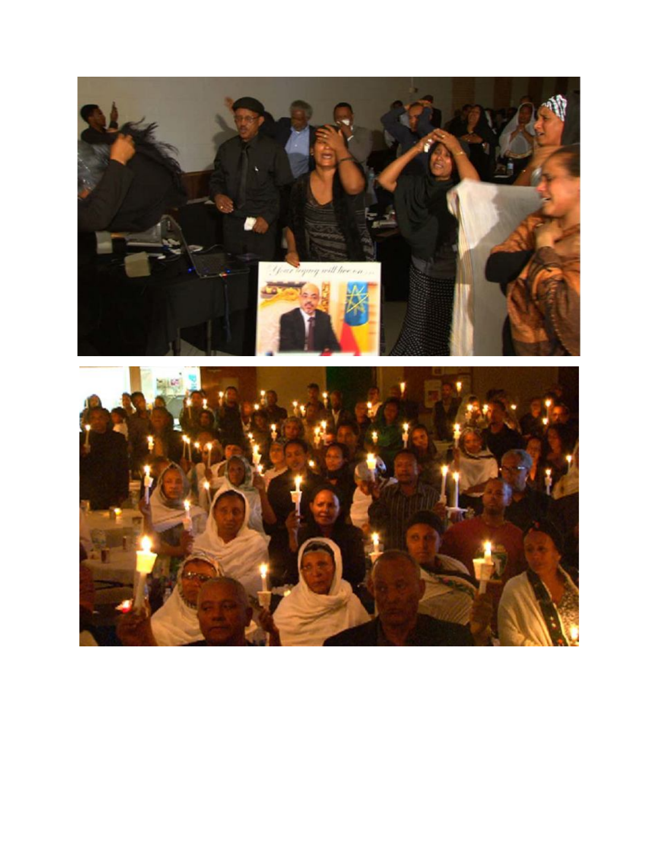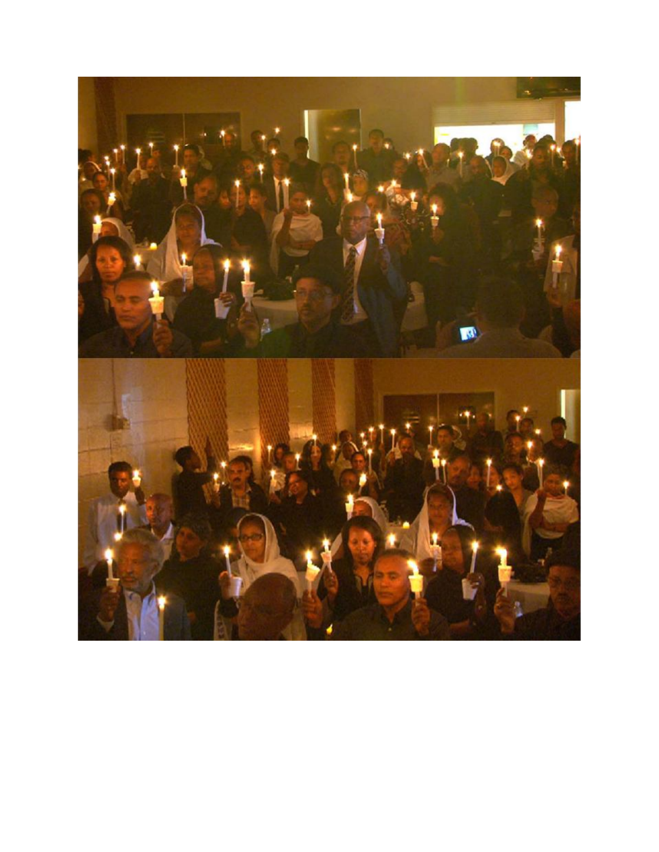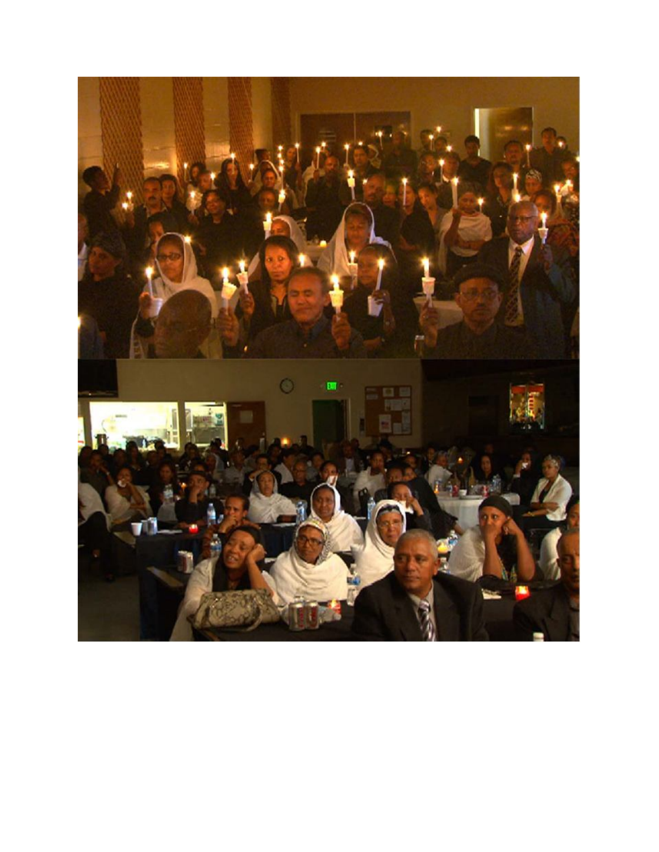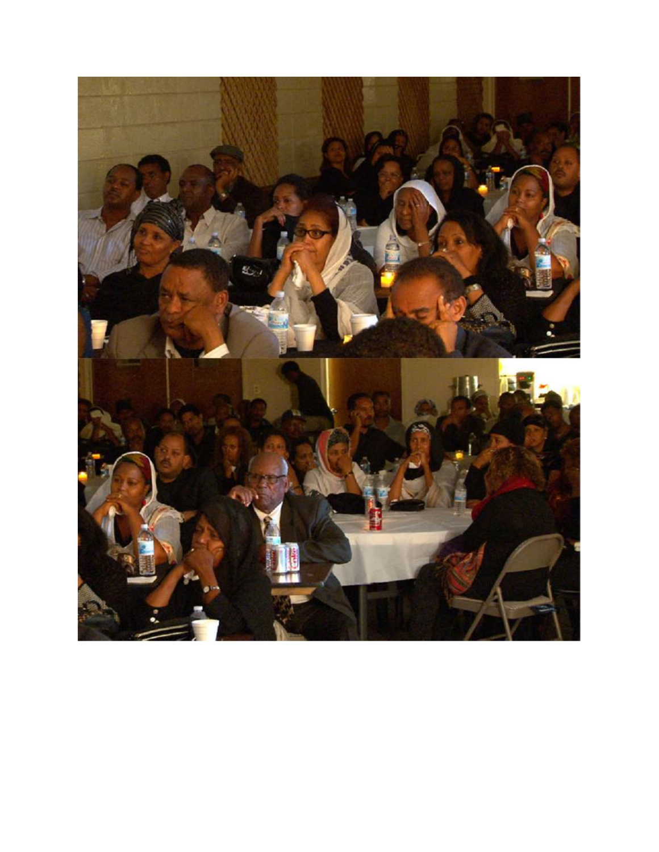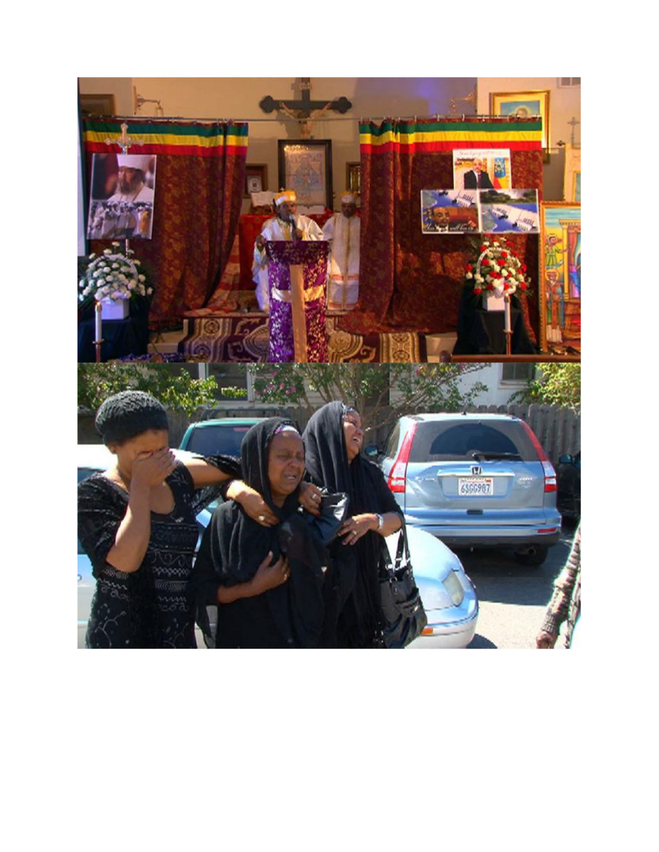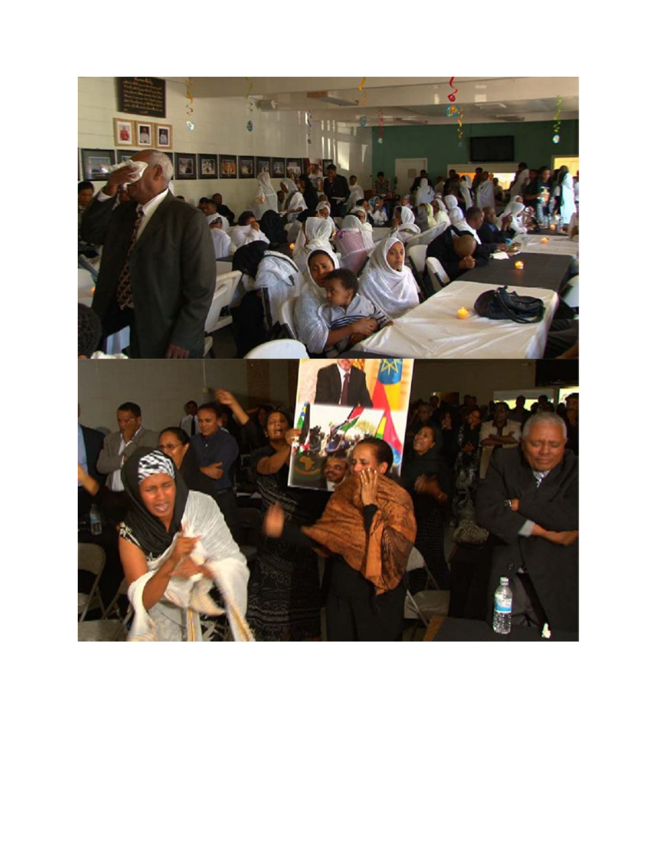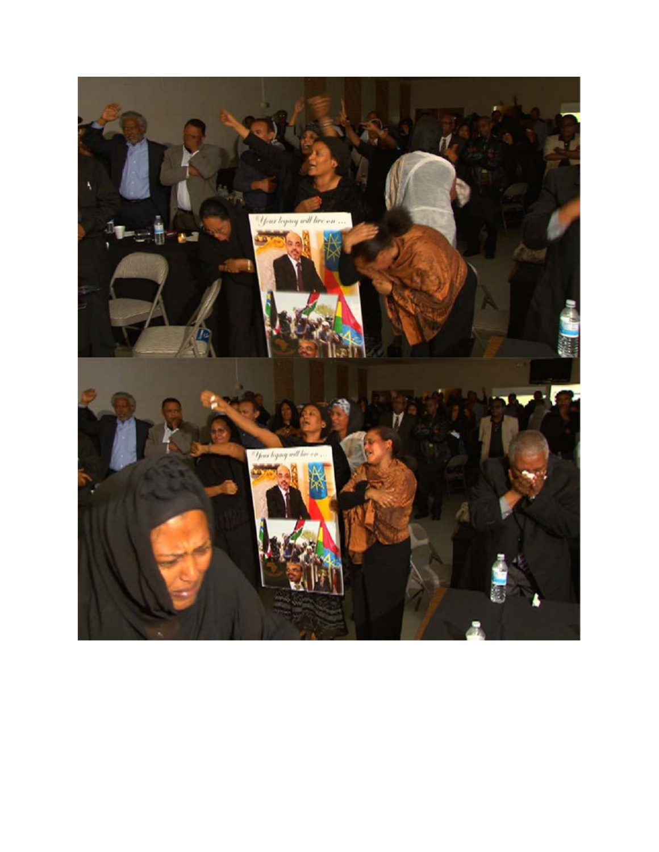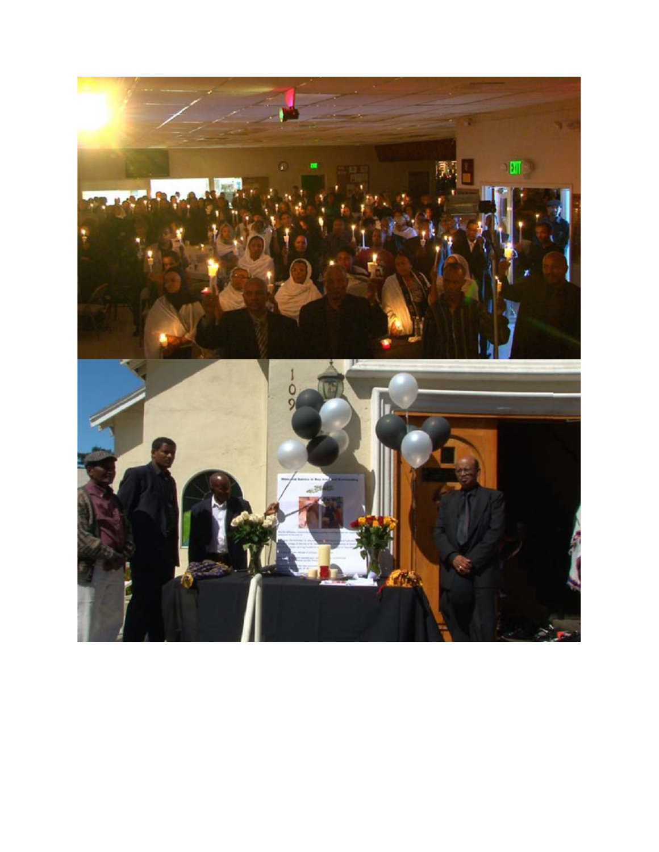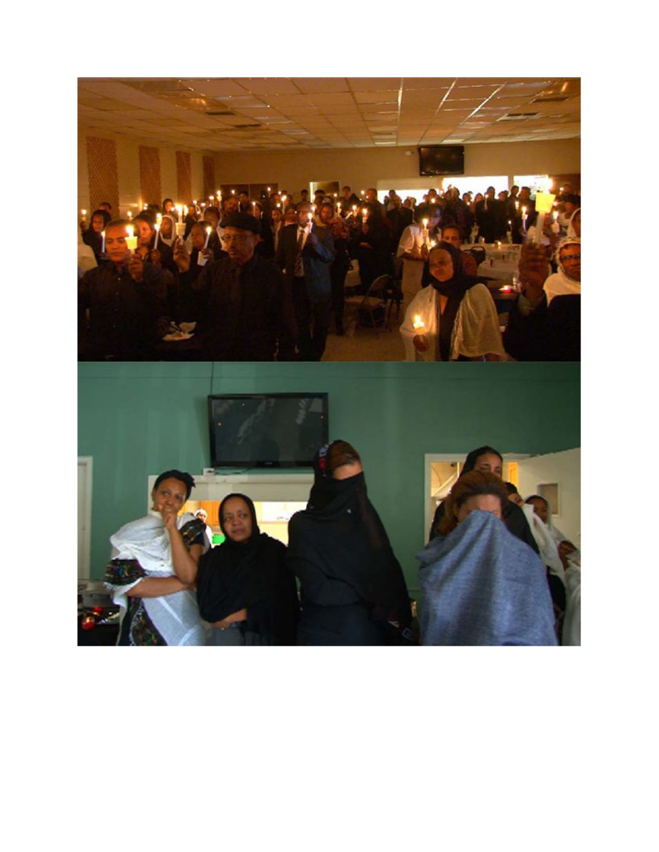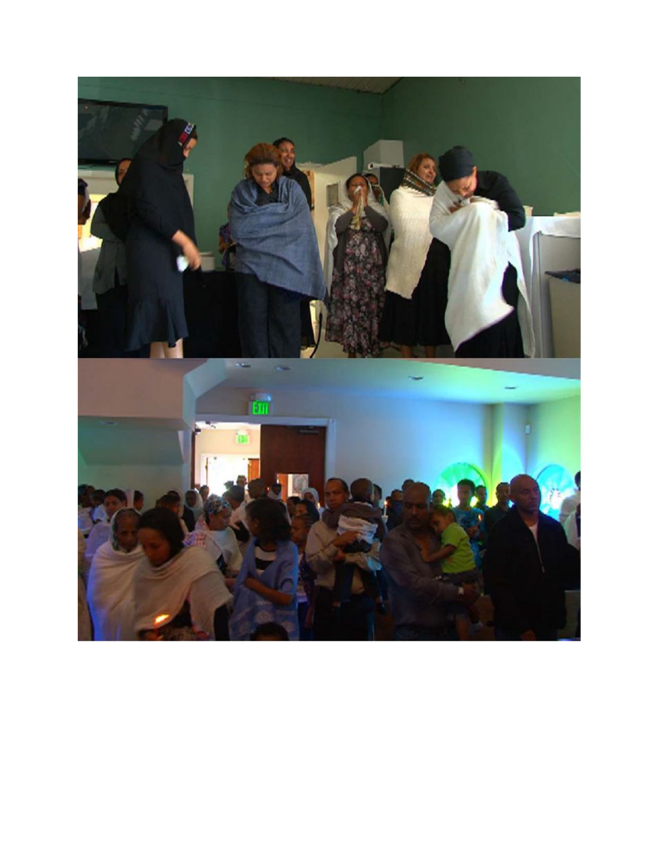